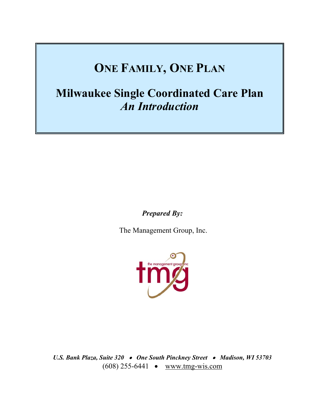# **ONE FAMILY, ONE PLAN**

**Milwaukee Single Coordinated Care Plan**  *An Introduction* 

*Prepared By:* 

The Management Group, Inc.



*U.S. Bank Plaza, Suite 320* • *One South Pinckney Street* • *Madison, WI 53703*  (608) 255-6441 • www.tmg-wis.com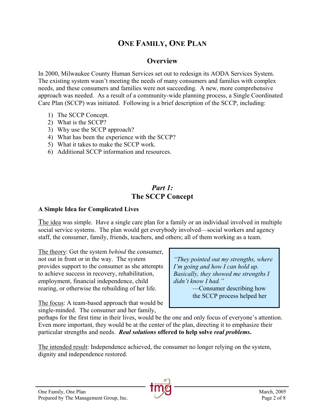# **ONE FAMILY, ONE PLAN**

## **Overview**

In 2000, Milwaukee County Human Services set out to redesign its AODA Services System. The existing system wasn't meeting the needs of many consumers and families with complex needs, and these consumers and families were not succeeding. A new, more comprehensive approach was needed. As a result of a community-wide planning process, a Single Coordinated Care Plan (SCCP) was initiated. Following is a brief description of the SCCP, including:

- 1) The SCCP Concept.
- 2) What is the SCCP?
- 3) Why use the SCCP approach?
- 4) What has been the experience with the SCCP?
- 5) What it takes to make the SCCP work.
- 6) Additional SCCP information and resources.

# *Part 1:* **The SCCP Concept**

#### **A Simple Idea for Complicated Lives**

The idea was simple. Have a single care plan for a family or an individual involved in multiple social service systems. The plan would get everybody involved—social workers and agency staff, the consumer, family, friends, teachers, and others; all of them working as a team.

The theory: Get the system *behind* the consumer, not out in front or in the way. The system provides support to the consumer as she attempts to achieve success in recovery, rehabilitation, employment, financial independence, child rearing, or otherwise the rebuilding of her life.

*I'm going and how I can hold up. Basically, they showed me strengths I didn't know I had."*  —Consumer describing how

*"They pointed out my strengths, where* 

the SCCP process helped her

The focus: A team-based approach that would be single-minded. The consumer and her family,

perhaps for the first time in their lives, would be the one and only focus of everyone's attention. Even more important, they would be at the center of the plan, directing it to emphasize their particular strengths and needs. *Real solutions* **offered to help solve** *real problems***.** 

The intended result: Independence achieved, the consumer no longer relying on the system, dignity and independence restored.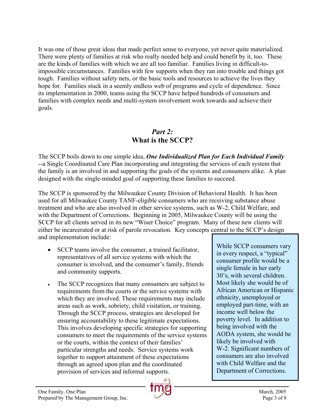It was one of those great ideas that made perfect sense to everyone, yet never quite materialized. There were plenty of families at risk who really needed help and could benefit by it, too. These are the kinds of families with which we are all too familiar. Families living in difficult-toimpossible circumstances. Families with few supports when they ran into trouble and things got tough. Families without safety nets, or the basic tools and resources to achieve the lives they hope for. Families stuck in a seemly endless web of programs and cycle of dependence. Since its implementation in 2000, teams using the SCCP have helped hundreds of consumers and families with complex needs and multi-system involvement work towards and achieve their goals.

# *Part 2:* **What is the SCCP?**

The SCCP boils down to one simple idea, *One Individualized Plan for Each Individual Family* --a Single Coordinated Care Plan incorporating and integrating the services of each system that the family is an involved in and supporting the goals of the systems and consumers alike. A plan designed with the single-minded goal of supporting these families to succeed.

The SCCP is sponsored by the Milwaukee County Division of Behavioral Health. It has been used for all Milwaukee County TANF-eligible consumers who are receiving substance abuse treatment and who are also involved in other service systems, such as W-2, Child Welfare, and with the Department of Corrections. Beginning in 2005, Milwaukee County will be using the SCCP for all clients served in its new "Wiser Choice" program. Many of these new clients will either be incarcerated or at risk of parole revocation. Key concepts central to the SCCP's design and implementation include:

- SCCP teams involve the consumer, a trained facilitator, representatives of all service systems with which the consumer is involved, and the consumer's family, friends and community supports.
- The SCCP recognizes that many consumers are subject to requirements from the courts or the service systems with which they are involved. These requirements may include areas such as work, sobriety, child visitation, or training. Through the SCCP process, strategies are developed for ensuring accountability to these legitimate expectations. This involves developing specific strategies for supporting consumers to meet the requirements of the service systems or the courts, within the context of their families' particular strengths and needs. Service systems work together to support attainment of these expectations through an agreed upon plan and the coordinated provision of services and informal supports.



in every respect, a "typical" consumer profile would be a single female in her early 30's, with several children. Most likely she would be of African American or Hispanic ethnicity, unemployed or employed part-time, with an income well below the poverty level. In addition to being involved with the AODA system, she would be likely be involved with W-2. Significant numbers of consumers are also involved with Child Welfare and the Department of Corrections.

While SCCP consumers vary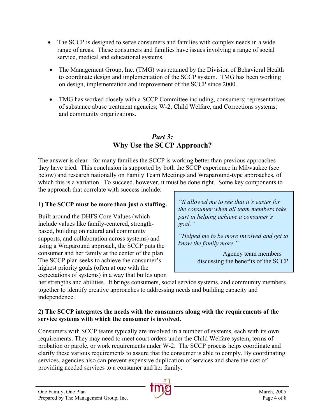- The SCCP is designed to serve consumers and families with complex needs in a wide range of areas. These consumers and families have issues involving a range of social service, medical and educational systems.
- The Management Group, Inc. (TMG) was retained by the Division of Behavioral Health to coordinate design and implementation of the SCCP system. TMG has been working on design, implementation and improvement of the SCCP since 2000.
- TMG has worked closely with a SCCP Committee including, consumers; representatives of substance abuse treatment agencies; W-2, Child Welfare, and Corrections systems; and community organizations.

# *Part 3:* **Why Use the SCCP Approach?**

The answer is clear - for many families the SCCP is working better than previous approaches they have tried. This conclusion is supported by both the SCCP experience in Milwaukee (see below) and research nationally on Family Team Meetings and Wraparound-type approaches, of which this is a variation. To succeed, however, it must be done right. Some key components to the approach that correlate with success include:

## **1) The SCCP must be more than just a staffing.**

Built around the DHFS Core Values (which include values like family-centered, strengthbased, building on natural and community supports, and collaboration across systems) and using a Wraparound approach, the SCCP puts the consumer and her family at the center of the plan. The SCCP plan seeks to achieve the consumer's highest priority goals (often at one with the expectations of systems) in a way that builds upon

*"It allowed me to see that it's easier for the consumer when all team members take part in helping achieve a consumer's goal."* 

*"Helped me to be more involved and get to know the family more."*

> —Agency team members discussing the benefits of the SCCP

her strengths and abilities. It brings consumers, social service systems, and community members together to identify creative approaches to addressing needs and building capacity and independence.

#### **2) The SCCP integrates the needs with the consumers along with the requirements of the service systems with which the consumer is involved.**

Consumers with SCCP teams typically are involved in a number of systems, each with its own requirements. They may need to meet court orders under the Child Welfare system, terms of probation or parole, or work requirements under W-2. The SCCP process helps coordinate and clarify these various requirements to assure that the consumer is able to comply. By coordinating services, agencies also can prevent expensive duplication of services and share the cost of providing needed services to a consumer and her family.

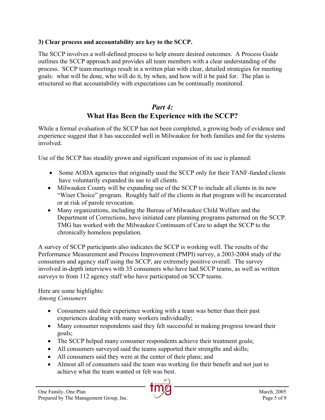## **3) Clear process and accountability are key to the SCCP.**

The SCCP involves a well-defined process to help ensure desired outcomes. A Process Guide outlines the SCCP approach and provides all team members with a clear understanding of the process. SCCP team meetings result in a written plan with clear, detailed strategies for meeting goals: what will be done, who will do it, by when, and how will it be paid for. The plan is structured so that accountability with expectations can be continually monitored.

## *Part 4:*  **What Has Been the Experience with the SCCP?**

While a formal evaluation of the SCCP has not been completed, a growing body of evidence and experience suggest that it has succeeded well in Milwaukee for both families and for the systems involved.

Use of the SCCP has steadily grown and significant expansion of its use is planned:

- Some AODA agencies that originally used the SCCP only for their TANF-funded clients have voluntarily expanded its use to all clients.
- Milwaukee County will be expanding use of the SCCP to include all clients in its new "Wiser Choice" program. Roughly half of the clients in that program will be incarcerated or at risk of parole revocation.
- Many organizations, including the Bureau of Milwaukee Child Welfare and the Department of Corrections, have initiated care planning programs patterned on the SCCP. TMG has worked with the Milwaukee Continuum of Care to adapt the SCCP to the chronically homeless population.

A survey of SCCP participants also indicates the SCCP is working well. The results of the Performance Measurement and Process Improvement (PMPI) survey, a 2003-2004 study of the consumers and agency staff using the SCCP, are extremely positive overall. The survey involved in-depth interviews with 35 consumers who have had SCCP teams, as well as written surveys to from 112 agency staff who have participated on SCCP teams.

Here are some highlights: *Among Consumers* 

- Consumers said their experience working with a team was better than their past experiences dealing with many workers individually;
- Many consumer respondents said they felt successful in making progress toward their goals;
- The SCCP helped many consumer respondents achieve their treatment goals;
- All consumers surveyed said the teams supported their strengths and skills;
- All consumers said they were at the center of their plans; and
- Almost all of consumers said the team was working for their benefit and not just to achieve what the team wanted or felt was best.

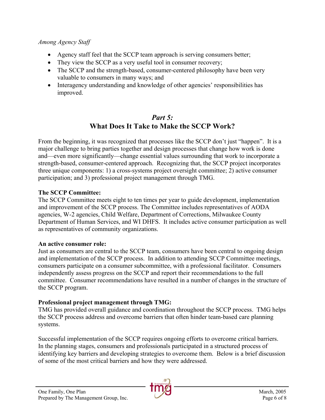#### *Among Agency Staff*

- Agency staff feel that the SCCP team approach is serving consumers better;
- They view the SCCP as a very useful tool in consumer recovery;
- The SCCP and the strength-based, consumer-centered philosophy have been very valuable to consumers in many ways; and
- Interagency understanding and knowledge of other agencies' responsibilities has improved.

## *Part 5:*  **What Does It Take to Make the SCCP Work?**

From the beginning, it was recognized that processes like the SCCP don't just "happen". It is a major challenge to bring parties together and design processes that change how work is done and—even more significantly—change essential values surrounding that work to incorporate a strength-based, consumer-centered approach. Recognizing that, the SCCP project incorporates three unique components: 1) a cross-systems project oversight committee; 2) active consumer participation; and 3) professional project management through TMG.

#### **The SCCP Committee:**

The SCCP Committee meets eight to ten times per year to guide development, implementation and improvement of the SCCP process. The Committee includes representatives of AODA agencies, W-2 agencies, Child Welfare, Department of Corrections, Milwaukee County Department of Human Services, and WI DHFS. It includes active consumer participation as well as representatives of community organizations.

#### **An active consumer role:**

Just as consumers are central to the SCCP team, consumers have been central to ongoing design and implementation of the SCCP process. In addition to attending SCCP Committee meetings, consumers participate on a consumer subcommittee, with a professional facilitator. Consumers independently assess progress on the SCCP and report their recommendations to the full committee. Consumer recommendations have resulted in a number of changes in the structure of the SCCP program.

## **Professional project management through TMG:**

TMG has provided overall guidance and coordination throughout the SCCP process. TMG helps the SCCP process address and overcome barriers that often hinder team-based care planning systems.

Successful implementation of the SCCP requires ongoing efforts to overcome critical barriers. In the planning stages, consumers and professionals participated in a structured process of identifying key barriers and developing strategies to overcome them. Below is a brief discussion of some of the most critical barriers and how they were addressed.

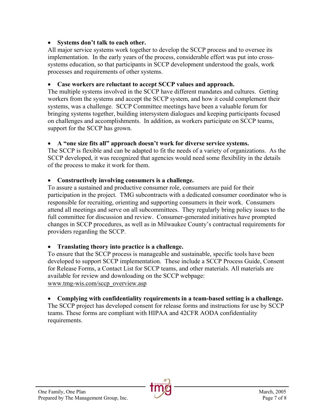#### • **Systems don't talk to each other.**

All major service systems work together to develop the SCCP process and to oversee its implementation. In the early years of the process, considerable effort was put into crosssystems education, so that participants in SCCP development understood the goals, work processes and requirements of other systems.

## • **Case workers are reluctant to accept SCCP values and approach.**

The multiple systems involved in the SCCP have different mandates and cultures. Getting workers from the systems and accept the SCCP system, and how it could complement their systems, was a challenge. SCCP Committee meetings have been a valuable forum for bringing systems together, building intersystem dialogues and keeping participants focused on challenges and accomplishments. In addition, as workers participate on SCCP teams, support for the SCCP has grown.

#### • **A "one size fits all" approach doesn't work for diverse service systems.**

The SCCP is flexible and can be adapted to fit the needs of a variety of organizations. As the SCCP developed, it was recognized that agencies would need some flexibility in the details of the process to make it work for them.

## • **Constructively involving consumers is a challenge.**

To assure a sustained and productive consumer role, consumers are paid for their participation in the project. TMG subcontracts with a dedicated consumer coordinator who is responsible for recruiting, orienting and supporting consumers in their work. Consumers attend all meetings and serve on all subcommittees. They regularly bring policy issues to the full committee for discussion and review. Consumer-generated initiatives have prompted changes in SCCP procedures, as well as in Milwaukee County's contractual requirements for providers regarding the SCCP.

## • **Translating theory into practice is a challenge.**

To ensure that the SCCP process is manageable and sustainable, specific tools have been developed to support SCCP implementation. These include a SCCP Process Guide, Consent for Release Forms, a Contact List for SCCP teams, and other materials. All materials are available for review and downloading on the SCCP webpage: www.tmg-wis.com/sccp\_overview.asp

## • **Complying with confidentiality requirements in a team-based setting is a challenge.**

The SCCP project has developed consent for release forms and instructions for use by SCCP teams. These forms are compliant with HIPAA and 42CFR AODA confidentiality requirements.